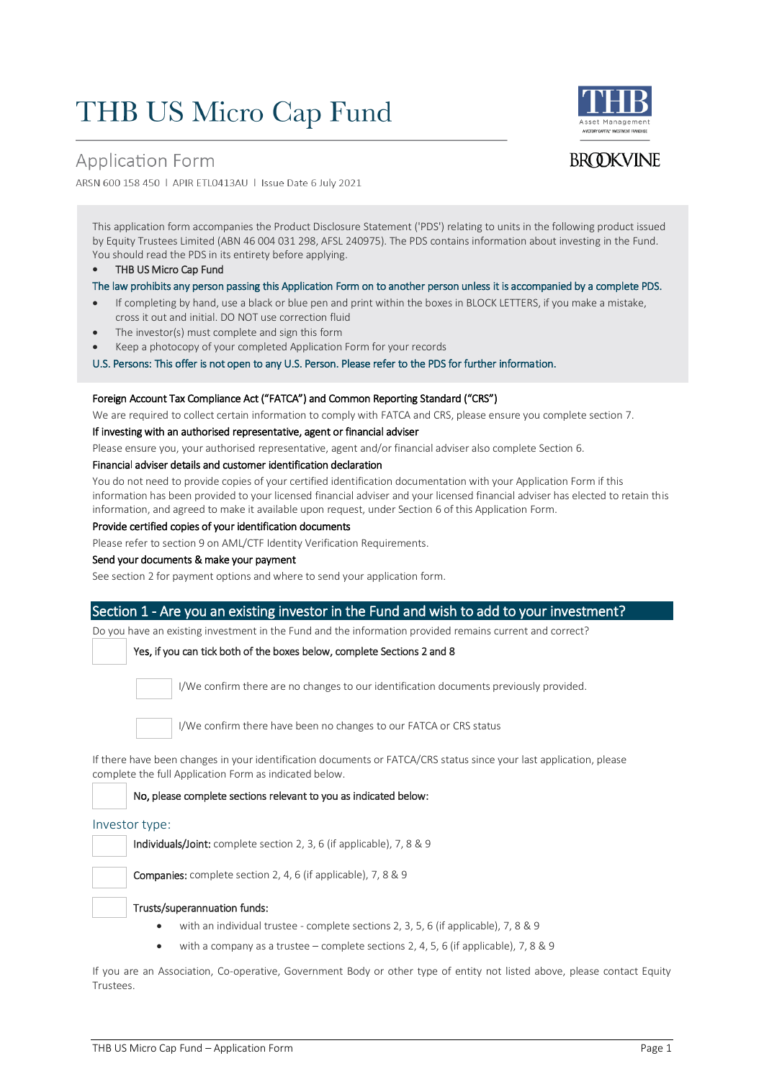## **THB US Micro Cap Fund**





**BROOKVINE** 

ARSN 600 158 450 | APIR ETL0413AU | Issue Date 6 July 2021

This application form accompanies the Product Disclosure Statement ('PDS') relating to units in the following product issued by Equity Trustees Limited (ABN 46 004 031 298, AFSL 240975). The PDS contains information about investing in the Fund. You should read the PDS in its entirety before applying.

THB US Micro Cap Fund

The law prohibits any person passing this Application Form on to another person unless it is accompanied by a complete PDS.

- If completing by hand, use a black or blue pen and print within the boxes in BLOCK LETTERS, if you make a mistake, cross it out and initial. DO NOT use correction fluid
- The investor(s) must complete and sign this form
- Keep a photocopy of your completed Application Form for your records

U.S. Persons: This offer is not open to any U.S. Person. Please refer to the PDS for further information.

#### Foreign Account Tax Compliance Act ("FATCA") and Common Reporting Standard ("CRS")

We are required to collect certain information to comply with FATCA and CRS, please ensure you complete section 7.

If investing with an authorised representative, agent or financial adviser

Please ensure you, your authorised representative, agent and/or financial adviser also complete Section 6.

#### Financial adviser details and customer identification declaration

You do not need to provide copies of your certified identification documentation with your Application Form if this information has been provided to your licensed financial adviser and your licensed financial adviser has elected to retain this information, and agreed to make it available upon request, under Section 6 of this Application Form.

#### Provide certified copies of your identification documents

Please refer to section 9 on AML/CTF Identity Verification Requirements.

#### Send your documents & make your payment

See section 2 for payment options and where to send your application form.

#### Section 1 - Are you an existing investor in the Fund and wish to add to your investment?

Do you have an existing investment in the Fund and the information provided remains current and correct?

#### Yes, if you can tick both of the boxes below, complete Sections 2 and 8



I/We confirm there are no changes to our identification documents previously provided.

I/We confirm there have been no changes to our FATCA or CRS status

If there have been changes in your identification documents or FATCA/CRS status since your last application, please complete the full Application Form as indicated below.

#### No, please complete sections relevant to you as indicated below:

#### Investor type:

Individuals/Joint: complete section 2, 3, 6 (if applicable), 7, 8 & 9

Companies: complete section 2, 4, 6 (if applicable), 7, 8 & 9

#### Trusts/superannuation funds:

- with an individual trustee complete sections 2, 3, 5, 6 (if applicable), 7, 8 & 9
- with a company as a trustee complete sections 2, 4, 5, 6 (if applicable), 7, 8 & 9

If you are an Association, Co-operative, Government Body or other type of entity not listed above, please contact Equity Trustees.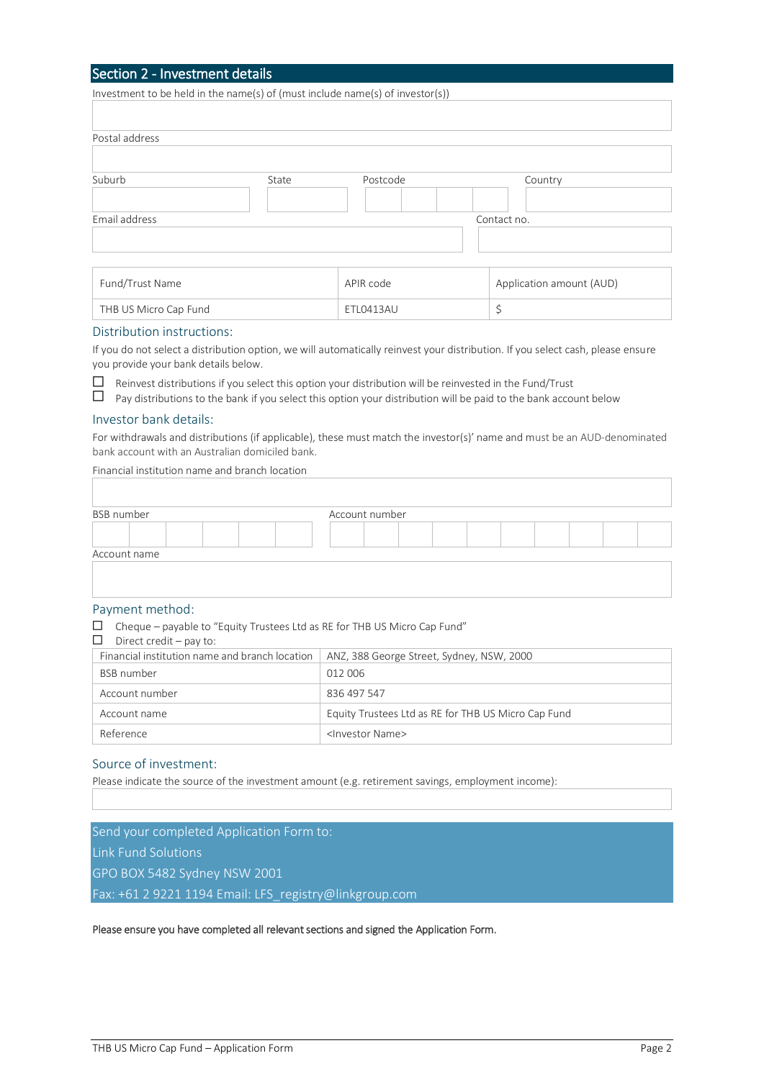#### Section 2 - Investment details

Investment to be held in the name(s) of (must include name(s) of investor(s))

| Postal address |       |          |             |  |
|----------------|-------|----------|-------------|--|
|                |       |          |             |  |
| Suburb         | State | Postcode | Country     |  |
|                |       |          |             |  |
| Email address  |       |          | Contact no. |  |
|                |       |          |             |  |
|                |       |          |             |  |
|                |       |          |             |  |

| Fund/Trust Name       | APIR code | Application amount (AUD) |
|-----------------------|-----------|--------------------------|
| THB US Micro Cap Fund | ETL0413AU |                          |

#### Distribution instructions:

If you do not select a distribution option, we will automatically reinvest your distribution. If you select cash, please ensure you provide your bank details below.

 $\Box$  Reinvest distributions if you select this option your distribution will be reinvested in the Fund/Trust

|  | $\Box$ Pay distributions to the bank if you select this option your distribution will be paid to the bank account below |  |  |  |  |  |
|--|-------------------------------------------------------------------------------------------------------------------------|--|--|--|--|--|
|--|-------------------------------------------------------------------------------------------------------------------------|--|--|--|--|--|

#### Investor bank details:

For withdrawals and distributions (if applicable), these must match the investor(s)' name and must be an AUD-denominated bank account with an Australian domiciled bank.

Financial institution name and branch location

| <b>BSB</b> number |  |  |  | Account number |  |  |  |  |
|-------------------|--|--|--|----------------|--|--|--|--|
|                   |  |  |  |                |  |  |  |  |
| Account name      |  |  |  |                |  |  |  |  |

#### Payment method:

| ப<br>Cheque – payable to "Equity Trustees Ltd as RE for THB US Micro Cap Fund"<br>□<br>Direct credit $-$ pay to: |                                                     |
|------------------------------------------------------------------------------------------------------------------|-----------------------------------------------------|
| Financial institution name and branch location                                                                   | ANZ, 388 George Street, Sydney, NSW, 2000           |
| <b>BSB</b> number                                                                                                | 012 006                                             |
| Account number                                                                                                   | 836 497 547                                         |
| Account name                                                                                                     | Equity Trustees Ltd as RE for THB US Micro Cap Fund |
| Reference                                                                                                        | <lnvestor name=""></lnvestor>                       |

#### Source of investment:

Please indicate the source of the investment amount (e.g. retirement savings, employment income):

Send your completed Application Form to: Link Fund Solutions GPO BOX 5482 Sydney NSW 2001 Fax: +61 2 9221 1194 Email: LFS\_registry@linkgroup.com

Please ensure you have completed all relevant sections and signed the Application Form.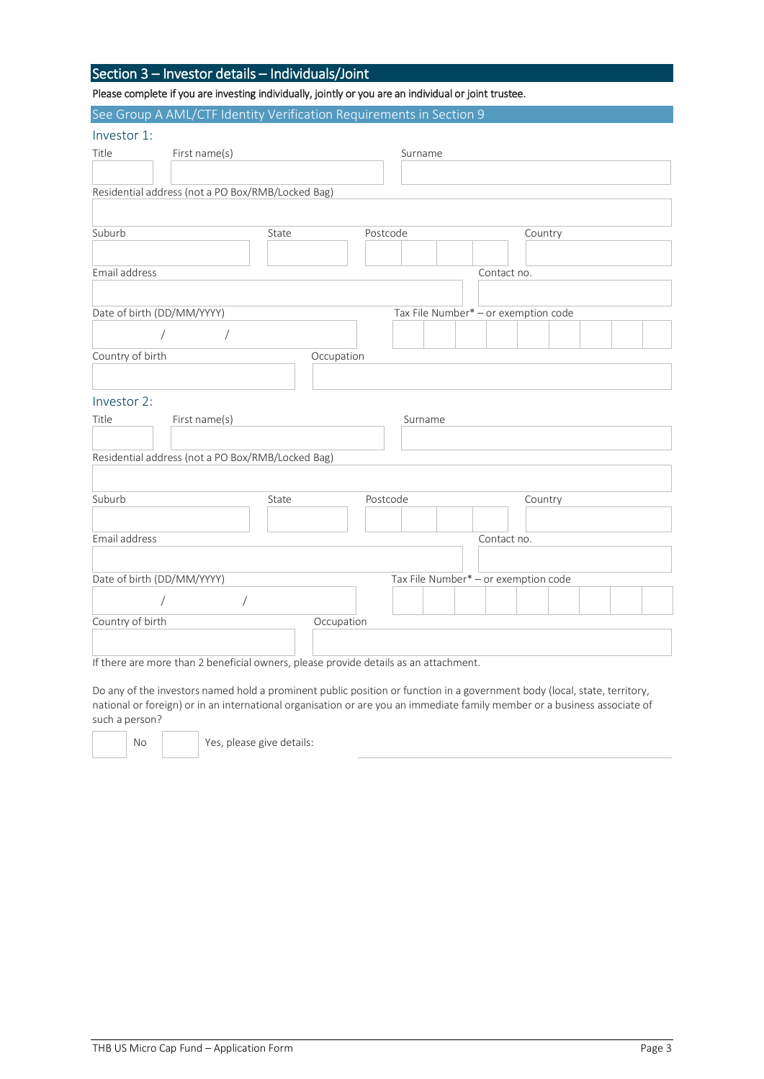#### Section 3 – Investor details – Individuals/Joint

Please complete if you are investing individually, jointly or you are an individual or joint trustee.

|                            | See Group A AML/CTF Identity Verification Requirements in Section 9 |            |         |                                      |  |
|----------------------------|---------------------------------------------------------------------|------------|---------|--------------------------------------|--|
| Investor 1:                |                                                                     |            |         |                                      |  |
| Title                      | First name(s)                                                       |            | Surname |                                      |  |
|                            |                                                                     |            |         |                                      |  |
|                            | Residential address (not a PO Box/RMB/Locked Bag)                   |            |         |                                      |  |
|                            |                                                                     |            |         |                                      |  |
| Suburb                     | State                                                               | Postcode   |         | Country                              |  |
|                            |                                                                     |            |         |                                      |  |
| Email address              |                                                                     |            |         | Contact no.                          |  |
|                            |                                                                     |            |         |                                      |  |
| Date of birth (DD/MM/YYYY) |                                                                     |            |         | Tax File Number* - or exemption code |  |
| $\sqrt{2}$                 | $\sqrt{2}$                                                          |            |         |                                      |  |
| Country of birth           |                                                                     | Occupation |         |                                      |  |
|                            |                                                                     |            |         |                                      |  |
| Investor 2:                |                                                                     |            |         |                                      |  |
| Title                      | First name(s)                                                       |            | Surname |                                      |  |
|                            |                                                                     |            |         |                                      |  |
|                            | Residential address (not a PO Box/RMB/Locked Bag)                   |            |         |                                      |  |
|                            |                                                                     |            |         |                                      |  |
| Suburb                     | State                                                               | Postcode   |         | Country                              |  |
|                            |                                                                     |            |         |                                      |  |
| Email address              |                                                                     |            |         | Contact no.                          |  |
|                            |                                                                     |            |         |                                      |  |
| Date of birth (DD/MM/YYYY) |                                                                     |            |         | Tax File Number* - or exemption code |  |
| $\sqrt{2}$                 | $\sqrt{2}$                                                          |            |         |                                      |  |
| Country of birth           |                                                                     | Occupation |         |                                      |  |
|                            |                                                                     |            |         |                                      |  |

If there are more than 2 beneficial owners, please provide details as an attachment.

Do any of the investors named hold a prominent public position or function in a government body (local, state, territory, national or foreign) or in an international organisation or are you an immediate family member or a business associate of such a person?

No | Yes, please give details: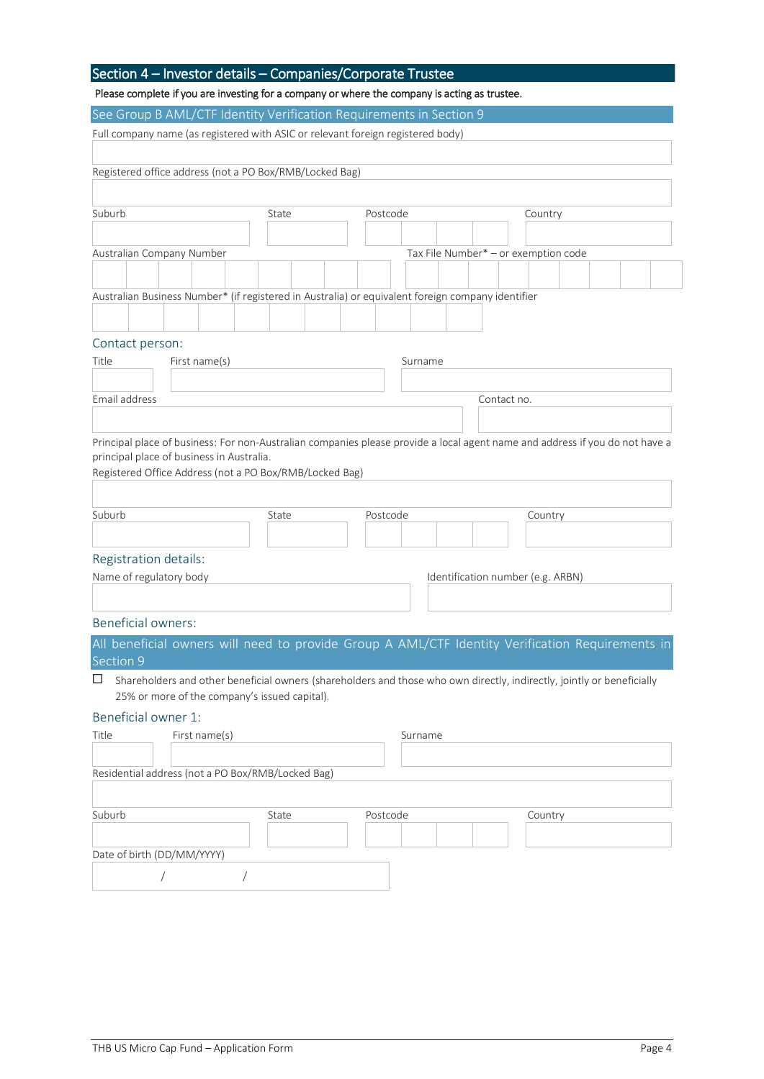### Section 4 – Investor details – Companies/Corporate Trustee Please complete if you are investing for a company or where the company is acting as trustee. See Group B AML/CTF Identity Verification Requirements in Section 9 Full company name (as registered with ASIC or relevant foreign registered body) Registered office address (not a PO Box/RMB/Locked Bag) Suburb **State** Postcode Country Australian Company Number Tax File Number\* – or exemption code Australian Business Number\* (if registered in Australia) or equivalent foreign company identifier Contact person: Title First name(s) First name(s) First name First name Surname Email address Contact no. Principal place of business: For non-Australian companies please provide a local agent name and address if you do not have a principal place of business in Australia. Registered Office Address (not a PO Box/RMB/Locked Bag) Suburb **Suburb** State **Country State** Postcode **Country** Registration details: Name of regulatory body  $\blacksquare$  Identification number (e.g. ARBN) Beneficial owners: All beneficial owners will need to provide Group A AML/CTF Identity Verification Requirements in Section 9  $\square$  Shareholders and other beneficial owners (shareholders and those who own directly, indirectly, jointly or beneficially 25% or more of the company's issued capital). Beneficial owner 1: Title First name(s) First name(s) First name First name (s) Fig. 2. Surname Residential address (not a PO Box/RMB/Locked Bag)

| Suburb                     | State | Postcode | Country |
|----------------------------|-------|----------|---------|
| Date of birth (DD/MM/YYYY) |       |          |         |
|                            |       |          |         |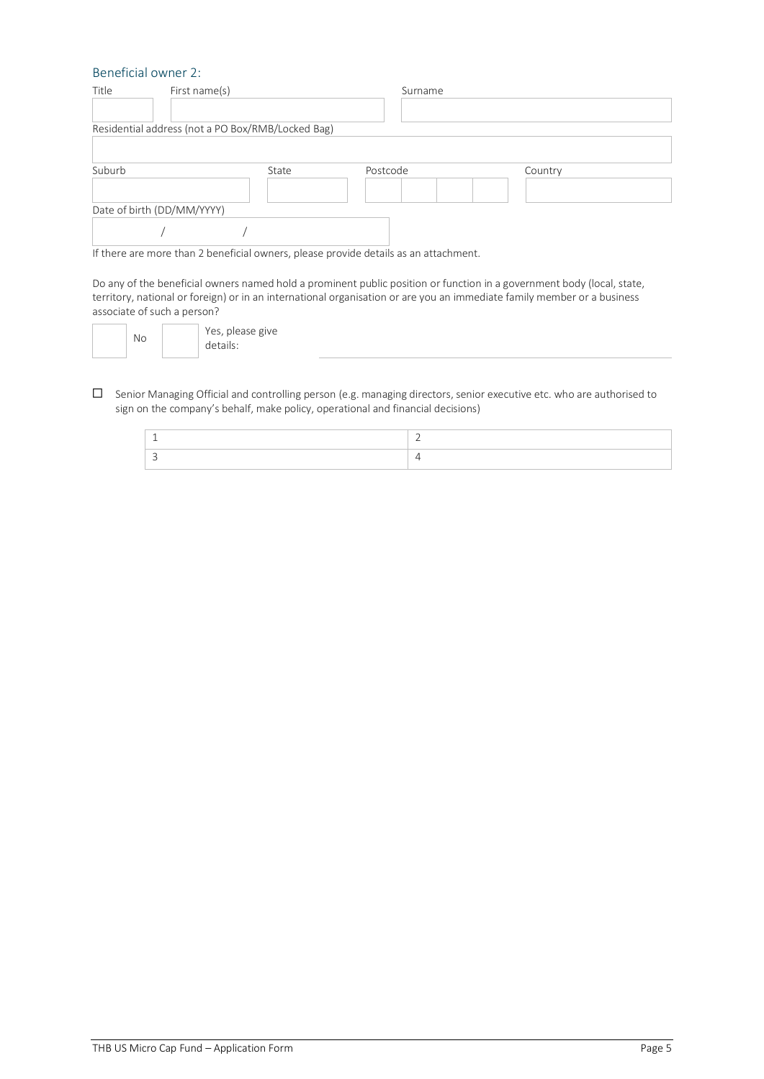#### Beneficial owner 2:

| Title                      | First name(s)                                     |       | Surname  |         |
|----------------------------|---------------------------------------------------|-------|----------|---------|
|                            | Residential address (not a PO Box/RMB/Locked Bag) |       |          |         |
| Suburb                     |                                                   | State | Postcode | Country |
|                            |                                                   |       |          |         |
| Date of birth (DD/MM/YYYY) |                                                   |       |          |         |
|                            |                                                   |       |          |         |

If there are more than 2 beneficial owners, please provide details as an attachment.

Do any of the beneficial owners named hold a prominent public position or function in a government body (local, state, territory, national or foreign) or in an international organisation or are you an immediate family member or a business associate of such a person?

| Yes, please give<br>No<br>details: |
|------------------------------------|
|------------------------------------|

Senior Managing Official and controlling person (e.g. managing directors, senior executive etc. who are authorised to sign on the company's behalf, make policy, operational and financial decisions)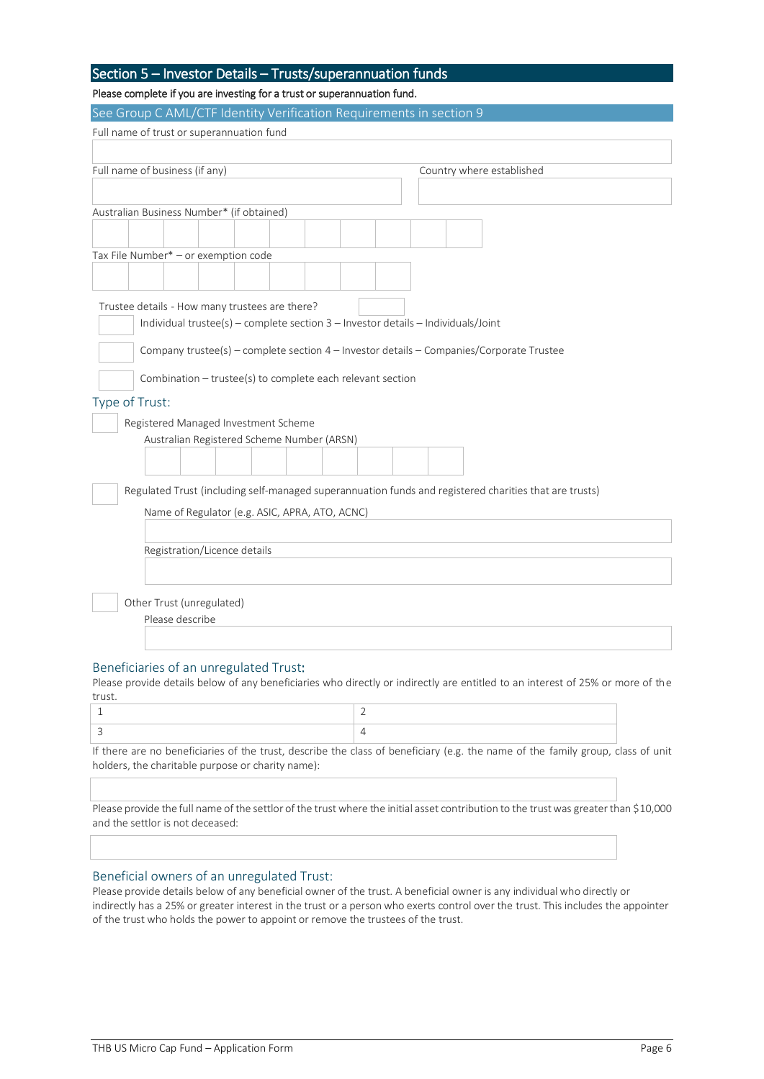| Section 5 – Investor Details – Trusts/superannuation funds |  |
|------------------------------------------------------------|--|
|------------------------------------------------------------|--|

#### Please complete if you are investing for a trust or superannuation fund.

| See Group C AML/CTF Identity Verification Requirements in section 9                                                                 |  |  |  |  |  |  |
|-------------------------------------------------------------------------------------------------------------------------------------|--|--|--|--|--|--|
| Full name of trust or superannuation fund                                                                                           |  |  |  |  |  |  |
|                                                                                                                                     |  |  |  |  |  |  |
| Full name of business (if any)<br>Country where established                                                                         |  |  |  |  |  |  |
|                                                                                                                                     |  |  |  |  |  |  |
| Australian Business Number* (if obtained)                                                                                           |  |  |  |  |  |  |
|                                                                                                                                     |  |  |  |  |  |  |
|                                                                                                                                     |  |  |  |  |  |  |
| Tax File Number* - or exemption code                                                                                                |  |  |  |  |  |  |
|                                                                                                                                     |  |  |  |  |  |  |
|                                                                                                                                     |  |  |  |  |  |  |
| Trustee details - How many trustees are there?<br>Individual trustee(s) - complete section 3 - Investor details - Individuals/Joint |  |  |  |  |  |  |
|                                                                                                                                     |  |  |  |  |  |  |
| Company trustee(s) - complete section 4 - Investor details - Companies/Corporate Trustee                                            |  |  |  |  |  |  |
| Combination - trustee(s) to complete each relevant section                                                                          |  |  |  |  |  |  |
| Type of Trust:                                                                                                                      |  |  |  |  |  |  |
| Registered Managed Investment Scheme                                                                                                |  |  |  |  |  |  |
| Australian Registered Scheme Number (ARSN)                                                                                          |  |  |  |  |  |  |
|                                                                                                                                     |  |  |  |  |  |  |
|                                                                                                                                     |  |  |  |  |  |  |
| Regulated Trust (including self-managed superannuation funds and registered charities that are trusts)                              |  |  |  |  |  |  |
| Name of Regulator (e.g. ASIC, APRA, ATO, ACNC)                                                                                      |  |  |  |  |  |  |
|                                                                                                                                     |  |  |  |  |  |  |
| Registration/Licence details                                                                                                        |  |  |  |  |  |  |
|                                                                                                                                     |  |  |  |  |  |  |
|                                                                                                                                     |  |  |  |  |  |  |
| Other Trust (unregulated)                                                                                                           |  |  |  |  |  |  |
| Please describe                                                                                                                     |  |  |  |  |  |  |
|                                                                                                                                     |  |  |  |  |  |  |
|                                                                                                                                     |  |  |  |  |  |  |
| Beneficiaries of an unregulated Trust:                                                                                              |  |  |  |  |  |  |

Please provide details below of any beneficiaries who directly or indirectly are entitled to an interest of 25% or more of the trust.

If there are no beneficiaries of the trust, describe the class of beneficiary (e.g. the name of the family group, class of unit holders, the charitable purpose or charity name):

Please provide the full name of the settlor of the trust where the initial asset contribution to the trust was greater than \$10,000 and the settlor is not deceased:

#### Beneficial owners of an unregulated Trust:

Please provide details below of any beneficial owner of the trust. A beneficial owner is any individual who directly or indirectly has a 25% or greater interest in the trust or a person who exerts control over the trust. This includes the appointer of the trust who holds the power to appoint or remove the trustees of the trust.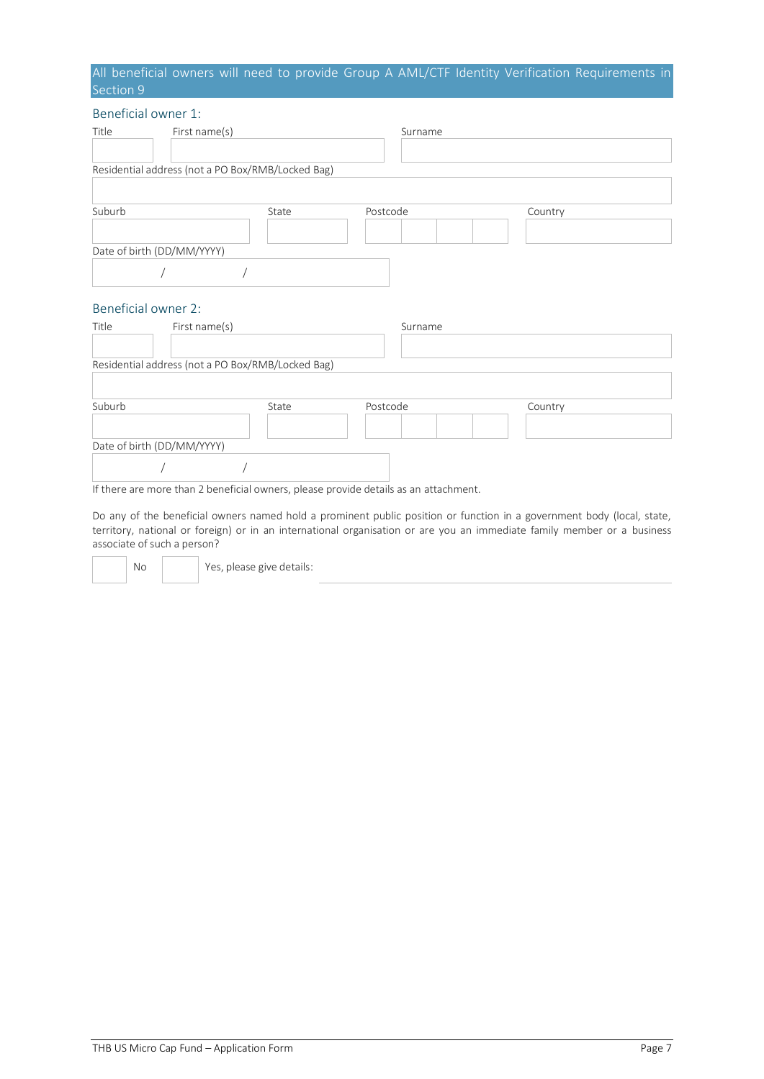#### All beneficial owners will need to provide Group A AML/CTF Identity Verification Requirements in Section 9

#### Beneficial owner 1:

| Title                      | First name(s)                                     |       | Surname  |         |
|----------------------------|---------------------------------------------------|-------|----------|---------|
|                            |                                                   |       |          |         |
|                            | Residential address (not a PO Box/RMB/Locked Bag) |       |          |         |
|                            |                                                   |       |          |         |
| Suburb                     |                                                   | State | Postcode | Country |
|                            |                                                   |       |          |         |
| Date of birth (DD/MM/YYYY) |                                                   |       |          |         |
|                            |                                                   |       |          |         |

#### Beneficial owner 2:

| Title                      | First name(s)                                     |       | Surname  |         |
|----------------------------|---------------------------------------------------|-------|----------|---------|
|                            | Residential address (not a PO Box/RMB/Locked Bag) |       |          |         |
|                            |                                                   |       |          |         |
| Suburb                     |                                                   | State | Postcode | Country |
|                            |                                                   |       |          |         |
| Date of birth (DD/MM/YYYY) |                                                   |       |          |         |
|                            |                                                   |       |          |         |

If there are more than 2 beneficial owners, please provide details as an attachment.

Do any of the beneficial owners named hold a prominent public position or function in a government body (local, state, territory, national or foreign) or in an international organisation or are you an immediate family member or a business associate of such a person?

No  $\vert$  Yes, please give details: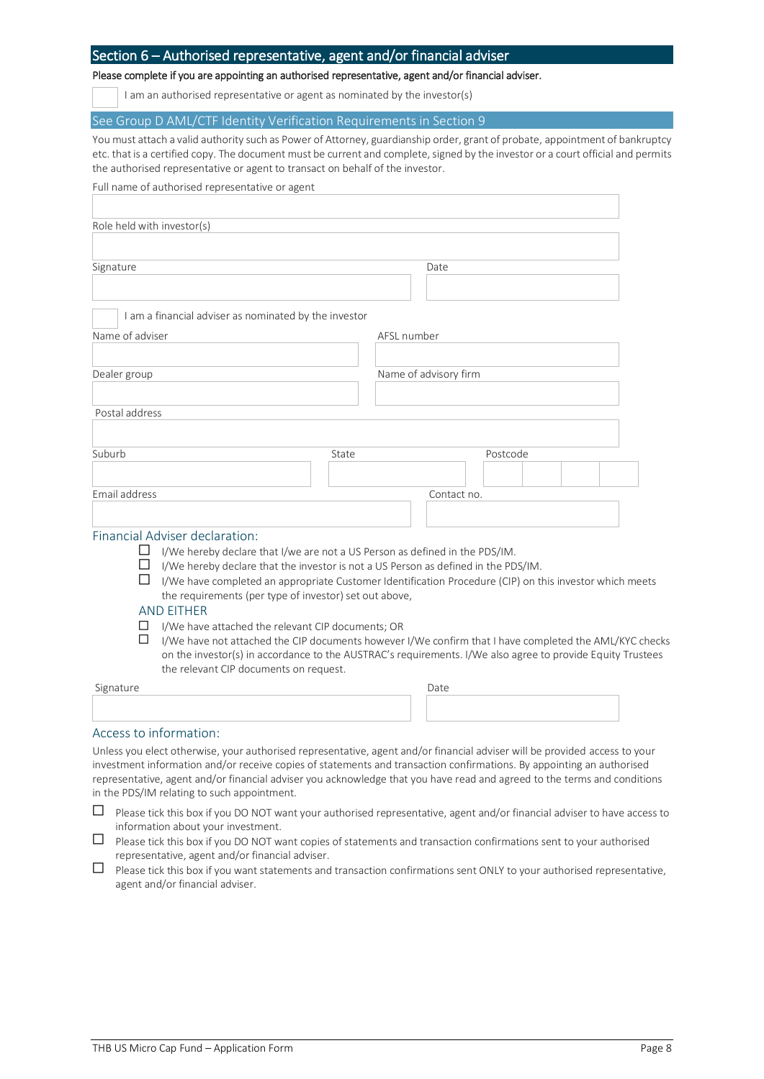#### Section 6 – Authorised representative, agent and/or financial adviser

Please complete if you are appointing an authorised representative, agent and/or financial adviser.

I am an authorised representative or agent as nominated by the investor(s)

See Group D AML/CTF Identity Verification Requirements in Section 9

You must attach a valid authority such as Power of Attorney, guardianship order, grant of probate, appointment of bankruptcy etc. that is a certified copy. The document must be current and complete, signed by the investor or a court official and permits the authorised representative or agent to transact on behalf of the investor.

| Full name of authorised representative or agent                                         |                                                                                                         |
|-----------------------------------------------------------------------------------------|---------------------------------------------------------------------------------------------------------|
|                                                                                         |                                                                                                         |
| Role held with investor(s)                                                              |                                                                                                         |
|                                                                                         |                                                                                                         |
| Signature                                                                               | Date                                                                                                    |
|                                                                                         |                                                                                                         |
| I am a financial adviser as nominated by the investor                                   |                                                                                                         |
| Name of adviser                                                                         | AFSL number                                                                                             |
|                                                                                         |                                                                                                         |
| Dealer group                                                                            | Name of advisory firm                                                                                   |
|                                                                                         |                                                                                                         |
| Postal address                                                                          |                                                                                                         |
|                                                                                         |                                                                                                         |
| Suburb<br>State                                                                         | Postcode                                                                                                |
|                                                                                         |                                                                                                         |
| Email address                                                                           | Contact no.                                                                                             |
|                                                                                         |                                                                                                         |
|                                                                                         |                                                                                                         |
| Financial Adviser declaration:                                                          |                                                                                                         |
| I/We hereby declare that I/we are not a US Person as defined in the PDS/IM.<br>⊔        |                                                                                                         |
| I/We hereby declare that the investor is not a US Person as defined in the PDS/IM.<br>П | I/We have completed an appropriate Customer Identification Procedure (CIP) on this investor which meets |
| the requirements (per type of investor) set out above,                                  |                                                                                                         |
| <b>AND EITHER</b>                                                                       |                                                                                                         |
| I/We have attached the relevant CIP documents; OR<br>ப                                  |                                                                                                         |
| ப                                                                                       | I/We have not attached the CIP documents however I/We confirm that I have completed the AML/KYC checks  |

on the investor(s) in accordance to the AUSTRAC's requirements. I/We also agree to provide Equity Trustees the relevant CIP documents on request.

| Signature | Date |  |
|-----------|------|--|
|           |      |  |
|           |      |  |
|           |      |  |

#### Access to information:

Unless you elect otherwise, your authorised representative, agent and/or financial adviser will be provided access to your investment information and/or receive copies of statements and transaction confirmations. By appointing an authorised representative, agent and/or financial adviser you acknowledge that you have read and agreed to the terms and conditions in the PDS/IM relating to such appointment.

- $\Box$  Please tick this box if you DO NOT want your authorised representative, agent and/or financial adviser to have access to information about your investment.
- $\Box$  Please tick this box if you DO NOT want copies of statements and transaction confirmations sent to your authorised representative, agent and/or financial adviser.
- $\Box$  Please tick this box if you want statements and transaction confirmations sent ONLY to your authorised representative, agent and/or financial adviser.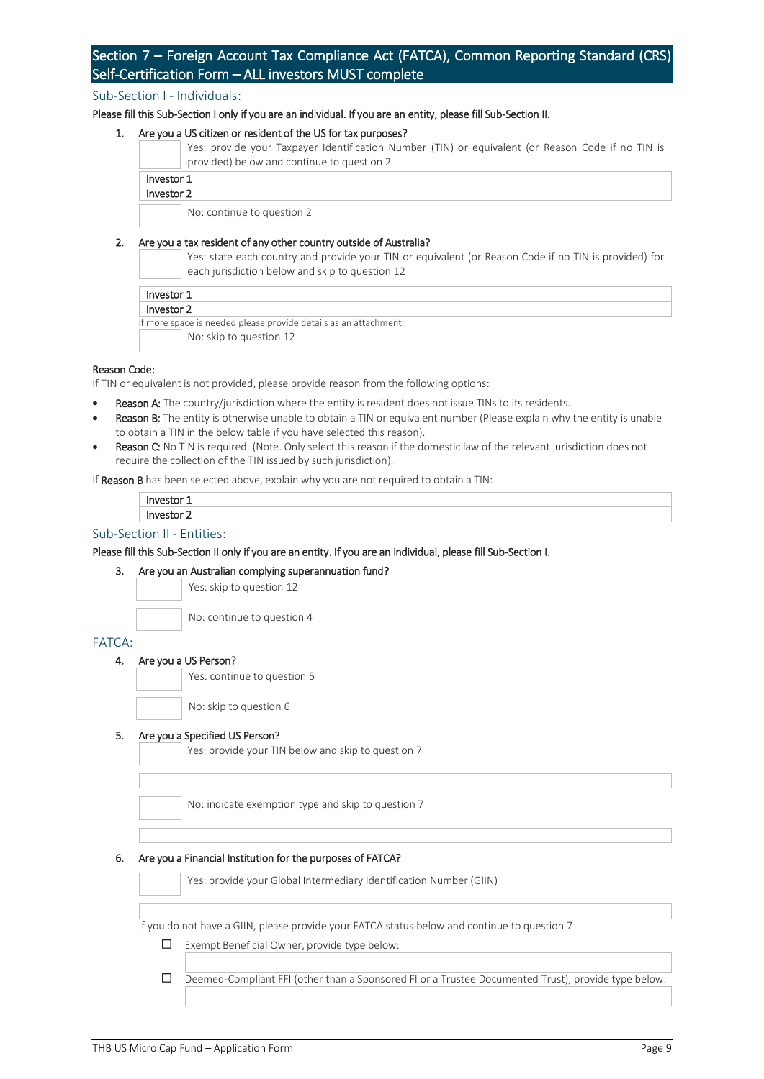### Section 7 – Foreign Account Tax Compliance Act (FATCA), Common Reporting Standard (CRS) Self-Certification Form – ALL investors MUST complete

#### Sub-Section I - Individuals:

Please fill this Sub-Section I only if you are an individual. If you are an entity, please fill Sub-Section II.

#### 1. Are you a US citizen or resident of the US for tax purposes?

Yes: provide your Taxpayer Identification Number (TIN) or equivalent (or Reason Code if no TIN is provided) below and continue to question 2

| Investor 1                 |  |
|----------------------------|--|
| Investor 2                 |  |
| No: continue to question 2 |  |

#### 2. Are you a tax resident of any other country outside of Australia?

Yes: state each country and provide your TIN or equivalent (or Reason Code if no TIN is provided) for each jurisdiction below and skip to question 12

| Investor 1                                                       |  |
|------------------------------------------------------------------|--|
| Investor 2                                                       |  |
| If more space is needed please provide details as an attachment. |  |
| No: skip to question 12                                          |  |

#### Reason Code:

If TIN or equivalent is not provided, please provide reason from the following options:

- Reason A: The country/jurisdiction where the entity is resident does not issue TINs to its residents.
- Reason B: The entity is otherwise unable to obtain a TIN or equivalent number (Please explain why the entity is unable to obtain a TIN in the below table if you have selected this reason).
- Reason C: No TIN is required. (Note. Only select this reason if the domestic law of the relevant jurisdiction does not require the collection of the TIN issued by such jurisdiction).

If Reason B has been selected above, explain why you are not required to obtain a TIN:

#### Sub-Section II - Entities:

#### Please fill this Sub-Section II only if you are an entity. If you are an individual, please fill Sub-Section I.

#### 3. Are you an Australian complying superannuation fund?

Yes: skip to question 12

No: continue to question 4

#### FATCA:

#### 4. Are you a US Person?

Yes: continue to question 5

No: skip to question 6

#### 5. Are you a Specified US Person?

Yes: provide your TIN below and skip to question 7

No: indicate exemption type and skip to question 7

#### 6. Are you a Financial Institution for the purposes of FATCA?

Yes: provide your Global Intermediary Identification Number (GIIN)

If you do not have a GIIN, please provide your FATCA status below and continue to question 7

 $\Box$ Exempt Beneficial Owner, provide type below:

Deemed-Compliant FFI (other than a Sponsored FI or a Trustee Documented Trust), provide type below: $\Box$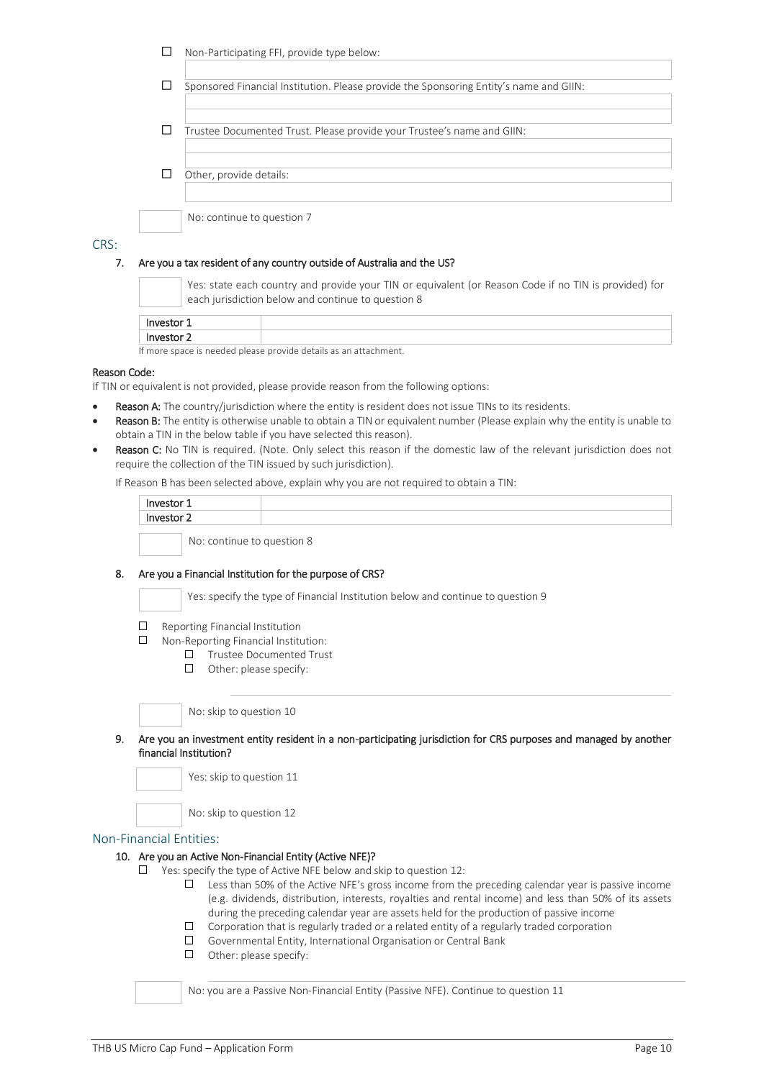|   | Non-Participating FFI, provide type below:                                             |
|---|----------------------------------------------------------------------------------------|
| L | Sponsored Financial Institution. Please provide the Sponsoring Entity's name and GIIN: |
| L | Trustee Documented Trust. Please provide your Trustee's name and GIIN:                 |
|   | Other, provide details:                                                                |
|   | No: continue to question 7                                                             |

#### CRS:

#### 7. Are you a tax resident of any country outside of Australia and the US?

Yes: state each country and provide your TIN or equivalent (or Reason Code if no TIN is provided) for each jurisdiction below and continue to question 8

| Investor                                                         |  |  |  |
|------------------------------------------------------------------|--|--|--|
| Investor 2                                                       |  |  |  |
| If more space is needed please provide details as an attachment. |  |  |  |

#### Reason Code:

If TIN or equivalent is not provided, please provide reason from the following options:

- Reason A: The country/jurisdiction where the entity is resident does not issue TINs to its residents.
- Reason B: The entity is otherwise unable to obtain a TIN or equivalent number (Please explain why the entity is unable to obtain a TIN in the below table if you have selected this reason).
- Reason C: No TIN is required. (Note. Only select this reason if the domestic law of the relevant jurisdiction does not require the collection of the TIN issued by such jurisdiction).

If Reason B has been selected above, explain why you are not required to obtain a TIN:

| Investor 1 |                            |
|------------|----------------------------|
| Investor 2 |                            |
|            | No: continue to question 8 |

#### 8. Are you a Financial Institution for the purpose of CRS?

Yes: specify the type of Financial Institution below and continue to question 9

- $\Box$ Reporting Financial Institution
- $\Box$ Non-Reporting Financial Institution:
	- □ Trustee Documented Trust
	- $\Box$  Other: please specify:

No: skip to question 10

9. Are you an investment entity resident in a non-participating jurisdiction for CRS purposes and managed by another financial Institution?

Yes: skip to question 11

No: skip to question 12

#### Non-Financial Entities:

- 10. Are you an Active Non-Financial Entity (Active NFE)?
	- $\Box$  Yes: specify the type of Active NFE below and skip to question 12:
		- Less than 50% of the Active NFE's gross income from the preceding calendar year is passive income  $\Box$ (e.g. dividends, distribution, interests, royalties and rental income) and less than 50% of its assets during the preceding calendar year are assets held for the production of passive income
		- $\Box$  Corporation that is regularly traded or a related entity of a regularly traded corporation
		- Governmental Entity, International Organisation or Central Bank
		- $\square$  Other: please specify:

No: you are a Passive Non-Financial Entity (Passive NFE). Continue to question 11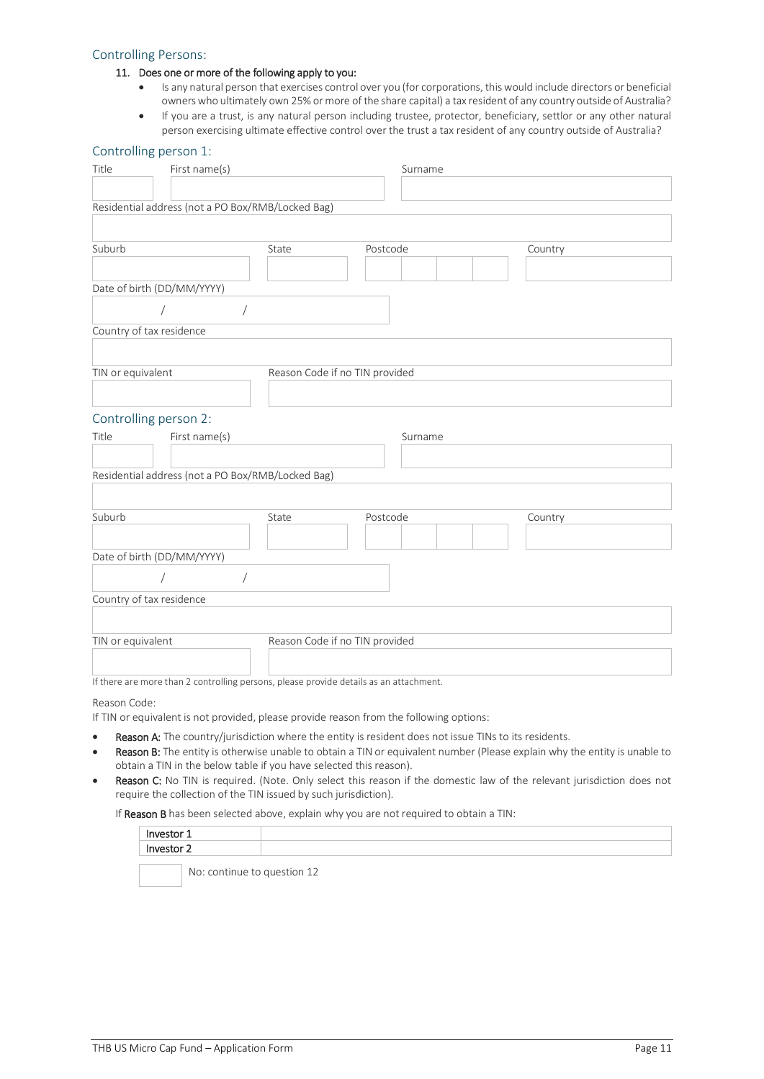#### Controlling Persons:

#### 11. Does one or more of the following apply to you:

- Is any natural person that exercises control over you (for corporations, this would include directors or beneficial owners who ultimately own 25% or more of the share capital) a tax resident of any country outside of Australia?
- If you are a trust, is any natural person including trustee, protector, beneficiary, settlor or any other natural person exercising ultimate effective control over the trust a tax resident of any country outside of Australia?

#### Controlling person 1:

| Title<br>First name(s)                                                                 |                                | Surname  |         |
|----------------------------------------------------------------------------------------|--------------------------------|----------|---------|
|                                                                                        |                                |          |         |
| Residential address (not a PO Box/RMB/Locked Bag)                                      |                                |          |         |
|                                                                                        |                                |          |         |
| Suburb                                                                                 | State                          | Postcode | Country |
|                                                                                        |                                |          |         |
| Date of birth (DD/MM/YYYY)                                                             |                                |          |         |
|                                                                                        |                                |          |         |
| Country of tax residence                                                               |                                |          |         |
|                                                                                        |                                |          |         |
| TIN or equivalent                                                                      | Reason Code if no TIN provided |          |         |
|                                                                                        |                                |          |         |
| Controlling person 2:                                                                  |                                |          |         |
| First name(s)<br>Title                                                                 |                                | Surname  |         |
|                                                                                        |                                |          |         |
| Residential address (not a PO Box/RMB/Locked Bag)                                      |                                |          |         |
|                                                                                        |                                |          |         |
| Suburb                                                                                 | State                          | Postcode | Country |
|                                                                                        |                                |          |         |
| Date of birth (DD/MM/YYYY)                                                             |                                |          |         |
|                                                                                        |                                |          |         |
| Country of tax residence                                                               |                                |          |         |
|                                                                                        |                                |          |         |
| TIN or equivalent                                                                      | Reason Code if no TIN provided |          |         |
|                                                                                        |                                |          |         |
| If there are more than 2 controlling persons, please provide details as an attachment. |                                |          |         |

Reason Code:

If TIN or equivalent is not provided, please provide reason from the following options:

- Reason A: The country/jurisdiction where the entity is resident does not issue TINs to its residents.
- Reason B: The entity is otherwise unable to obtain a TIN or equivalent number (Please explain why the entity is unable to obtain a TIN in the below table if you have selected this reason).
- Reason C: No TIN is required. (Note. Only select this reason if the domestic law of the relevant jurisdiction does not require the collection of the TIN issued by such jurisdiction).

If Reason B has been selected above, explain why you are not required to obtain a TIN:

| <i>Jestor</i> |  |
|---------------|--|
| Jestor        |  |
|               |  |

No: continue to question 12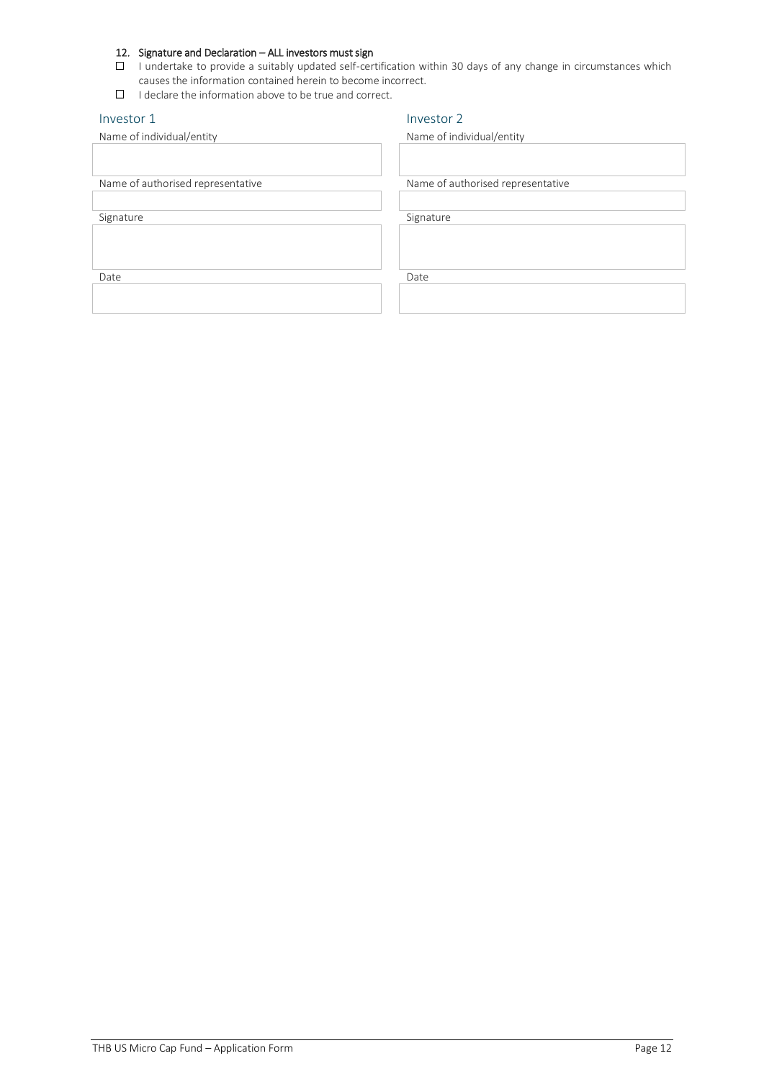#### 12. Signature and Declaration – ALL investors must sign

- $\square$  I undertake to provide a suitably updated self-certification within 30 days of any change in circumstances which causes the information contained herein to become incorrect.
- $\Box$  I declare the information above to be true and correct.

# Investor 1 Investor 2 Name of individual/entity Name of individual/entity Name of authorised representative Name of authorised representative Signature Signature Signature Signature Signature Signature Date **Date** Date **Date** Date **Date** Date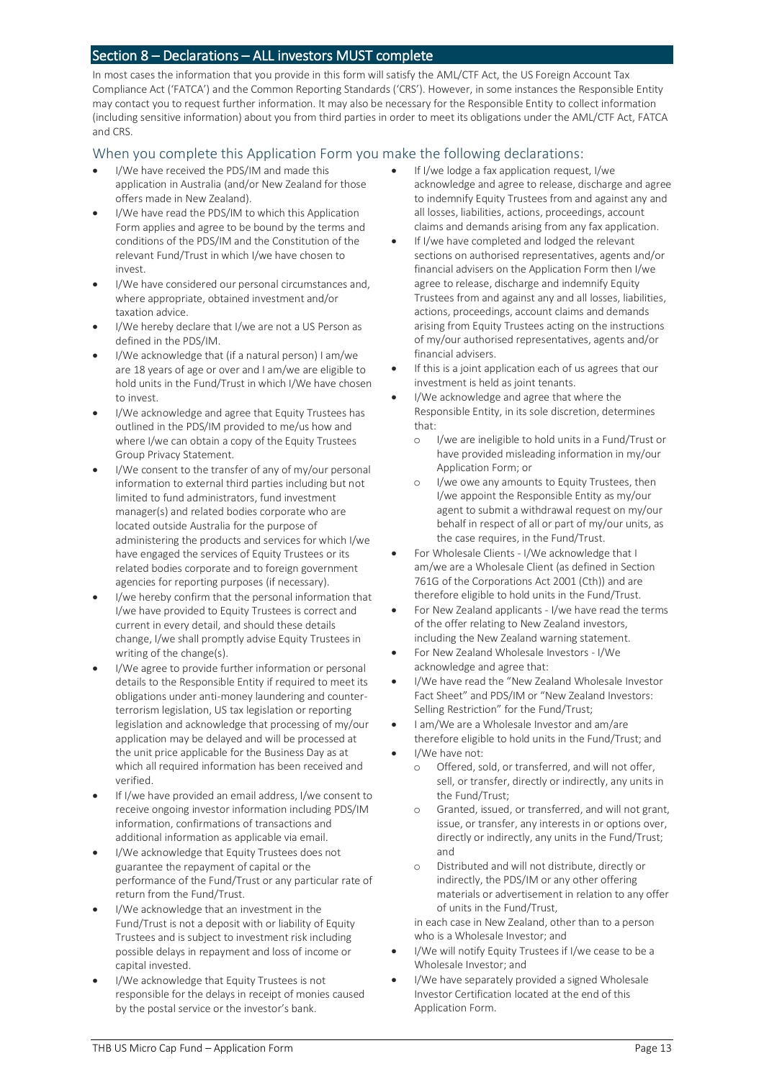#### Section 8 – Declarations – ALL investors MUST complete

In most cases the information that you provide in this form will satisfy the AML/CTF Act, the US Foreign Account Tax Compliance Act ('FATCA') and the Common Reporting Standards ('CRS'). However, in some instances the Responsible Entity may contact you to request further information. It may also be necessary for the Responsible Entity to collect information (including sensitive information) about you from third parties in order to meet its obligations under the AML/CTF Act, FATCA and CRS.

#### When you complete this Application Form you make the following declarations:

- I/We have received the PDS/IM and made this application in Australia (and/or New Zealand for those offers made in New Zealand).
- I/We have read the PDS/IM to which this Application Form applies and agree to be bound by the terms and conditions of the PDS/IM and the Constitution of the relevant Fund/Trust in which I/we have chosen to invest.
- I/We have considered our personal circumstances and, where appropriate, obtained investment and/or taxation advice.
- I/We hereby declare that I/we are not a US Person as defined in the PDS/IM.
- I/We acknowledge that (if a natural person) I am/we are 18 years of age or over and I am/we are eligible to hold units in the Fund/Trust in which I/We have chosen to invest.
- I/We acknowledge and agree that Equity Trustees has outlined in the PDS/IM provided to me/us how and where I/we can obtain a copy of the Equity Trustees Group Privacy Statement.
- I/We consent to the transfer of any of my/our personal information to external third parties including but not limited to fund administrators, fund investment manager(s) and related bodies corporate who are located outside Australia for the purpose of administering the products and services for which I/we have engaged the services of Equity Trustees or its related bodies corporate and to foreign government agencies for reporting purposes (if necessary).
- I/we hereby confirm that the personal information that I/we have provided to Equity Trustees is correct and current in every detail, and should these details change, I/we shall promptly advise Equity Trustees in writing of the change(s).
- I/We agree to provide further information or personal details to the Responsible Entity if required to meet its obligations under anti-money laundering and counterterrorism legislation, US tax legislation or reporting legislation and acknowledge that processing of my/our application may be delayed and will be processed at the unit price applicable for the Business Day as at which all required information has been received and verified.
- If I/we have provided an email address, I/we consent to receive ongoing investor information including PDS/IM information, confirmations of transactions and additional information as applicable via email.
- I/We acknowledge that Equity Trustees does not guarantee the repayment of capital or the performance of the Fund/Trust or any particular rate of return from the Fund/Trust.
- I/We acknowledge that an investment in the Fund/Trust is not a deposit with or liability of Equity Trustees and is subject to investment risk including possible delays in repayment and loss of income or capital invested.
- I/We acknowledge that Equity Trustees is not responsible for the delays in receipt of monies caused by the postal service or the investor's bank.
- If I/we lodge a fax application request, I/we acknowledge and agree to release, discharge and agree to indemnify Equity Trustees from and against any and all losses, liabilities, actions, proceedings, account claims and demands arising from any fax application.
- If I/we have completed and lodged the relevant sections on authorised representatives, agents and/or financial advisers on the Application Form then I/we agree to release, discharge and indemnify Equity Trustees from and against any and all losses, liabilities, actions, proceedings, account claims and demands arising from Equity Trustees acting on the instructions of my/our authorised representatives, agents and/or financial advisers.
- If this is a joint application each of us agrees that our investment is held as joint tenants.
- I/We acknowledge and agree that where the Responsible Entity, in its sole discretion, determines that:
	- o I/we are ineligible to hold units in a Fund/Trust or have provided misleading information in my/our Application Form; or
	- o I/we owe any amounts to Equity Trustees, then I/we appoint the Responsible Entity as my/our agent to submit a withdrawal request on my/our behalf in respect of all or part of my/our units, as the case requires, in the Fund/Trust.
- For Wholesale Clients I/We acknowledge that I am/we are a Wholesale Client (as defined in Section 761G of the Corporations Act 2001 (Cth)) and are therefore eligible to hold units in the Fund/Trust.
- For New Zealand applicants I/we have read the terms of the offer relating to New Zealand investors, including the New Zealand warning statement.
- For New Zealand Wholesale Investors I/We acknowledge and agree that:
- I/We have read the "New Zealand Wholesale Investor Fact Sheet" and PDS/IM or "New Zealand Investors: Selling Restriction" for the Fund/Trust;
- I am/We are a Wholesale Investor and am/are therefore eligible to hold units in the Fund/Trust; and
- I/We have not:
	- o Offered, sold, or transferred, and will not offer, sell, or transfer, directly or indirectly, any units in the Fund/Trust;
	- o Granted, issued, or transferred, and will not grant, issue, or transfer, any interests in or options over, directly or indirectly, any units in the Fund/Trust; and
	- o Distributed and will not distribute, directly or indirectly, the PDS/IM or any other offering materials or advertisement in relation to any offer of units in the Fund/Trust,

in each case in New Zealand, other than to a person who is a Wholesale Investor; and

- I/We will notify Equity Trustees if I/we cease to be a Wholesale Investor; and
- I/We have separately provided a signed Wholesale Investor Certification located at the end of this Application Form.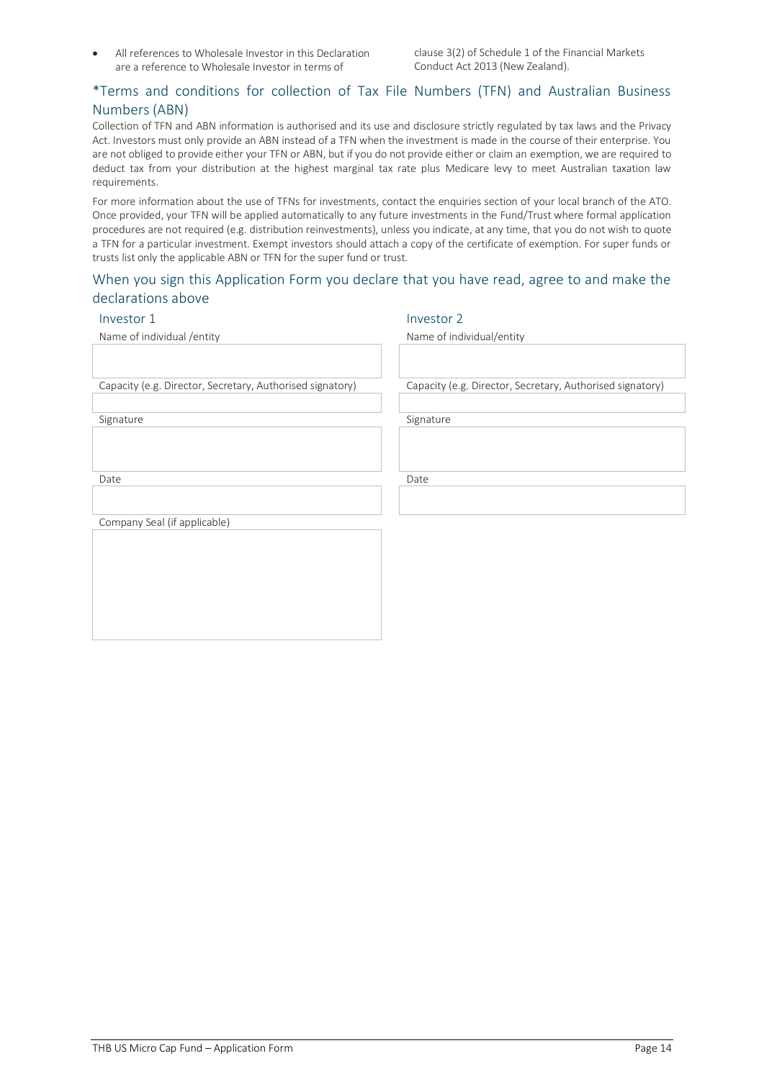• All references to Wholesale Investor in this Declaration are a reference to Wholesale Investor in terms of

clause 3(2) of Schedule 1 of the Financial Markets Conduct Act 2013 (New Zealand).

#### \*Terms and conditions for collection of Tax File Numbers (TFN) and Australian Business Numbers (ABN)

Collection of TFN and ABN information is authorised and its use and disclosure strictly regulated by tax laws and the Privacy Act. Investors must only provide an ABN instead of a TFN when the investment is made in the course of their enterprise. You are not obliged to provide either your TFN or ABN, but if you do not provide either or claim an exemption, we are required to deduct tax from your distribution at the highest marginal tax rate plus Medicare levy to meet Australian taxation law requirements.

For more information about the use of TFNs for investments, contact the enquiries section of your local branch of the ATO. Once provided, your TFN will be applied automatically to any future investments in the Fund/Trust where formal application procedures are not required (e.g. distribution reinvestments), unless you indicate, at any time, that you do not wish to quote a TFN for a particular investment. Exempt investors should attach a copy of the certificate of exemption. For super funds or trusts list only the applicable ABN or TFN for the super fund or trust.

#### When you sign this Application Form you declare that you have read, agree to and make the declarations above

#### Investor 1 Investor 2

Name of individual /entity Name of individual/entity

Capacity (e.g. Director, Secretary, Authorised signatory) Capacity (e.g. Director, Secretary, Authorised signatory)

Signature Signature Signature Signature Signature

Date **Date** Date **Date** Date **Date** Date

Company Seal (if applicable)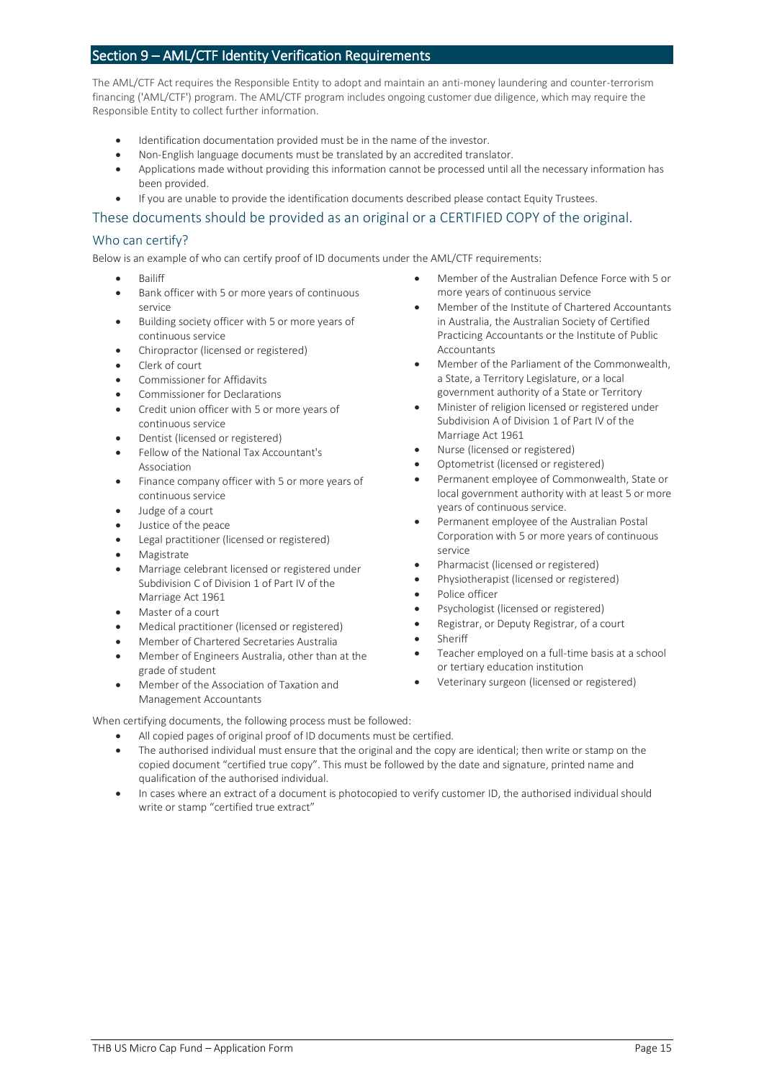#### Section 9 – AML/CTF Identity Verification Requirements

The AML/CTF Act requires the Responsible Entity to adopt and maintain an anti-money laundering and counter-terrorism financing ('AML/CTF') program. The AML/CTF program includes ongoing customer due diligence, which may require the Responsible Entity to collect further information.

- Identification documentation provided must be in the name of the investor.
- Non-English language documents must be translated by an accredited translator.
- Applications made without providing this information cannot be processed until all the necessary information has been provided.
- If you are unable to provide the identification documents described please contact Equity Trustees.

#### These documents should be provided as an original or a CERTIFIED COPY of the original.

#### Who can certify?

Below is an example of who can certify proof of ID documents under the AML/CTF requirements:

- Bailiff
- Bank officer with 5 or more years of continuous service
- Building society officer with 5 or more years of continuous service
- Chiropractor (licensed or registered)
- Clerk of court
- Commissioner for Affidavits
- Commissioner for Declarations
- Credit union officer with 5 or more years of continuous service
- Dentist (licensed or registered)
- Fellow of the National Tax Accountant's Association
- Finance company officer with 5 or more years of continuous service
- Judge of a court
- Justice of the peace
- Legal practitioner (licensed or registered)
- **Magistrate**
- Marriage celebrant licensed or registered under Subdivision C of Division 1 of Part IV of the Marriage Act 1961
- Master of a court
- Medical practitioner (licensed or registered)
- Member of Chartered Secretaries Australia
- Member of Engineers Australia, other than at the grade of student
- Member of the Association of Taxation and Management Accountants
- Member of the Australian Defence Force with 5 or more years of continuous service
- Member of the Institute of Chartered Accountants in Australia, the Australian Society of Certified Practicing Accountants or the Institute of Public **Accountants**
- Member of the Parliament of the Commonwealth, a State, a Territory Legislature, or a local government authority of a State or Territory
- Minister of religion licensed or registered under Subdivision A of Division 1 of Part IV of the Marriage Act 1961
- Nurse (licensed or registered)
- Optometrist (licensed or registered)
- Permanent employee of Commonwealth, State or local government authority with at least 5 or more years of continuous service.
- Permanent employee of the Australian Postal Corporation with 5 or more years of continuous service
- Pharmacist (licensed or registered)
- Physiotherapist (licensed or registered)
- Police officer
- Psychologist (licensed or registered)
- Registrar, or Deputy Registrar, of a court
- **Sheriff**
- Teacher employed on a full-time basis at a school or tertiary education institution
- Veterinary surgeon (licensed or registered)

When certifying documents, the following process must be followed:

- All copied pages of original proof of ID documents must be certified.
- The authorised individual must ensure that the original and the copy are identical; then write or stamp on the copied document "certified true copy". This must be followed by the date and signature, printed name and qualification of the authorised individual.
- In cases where an extract of a document is photocopied to verify customer ID, the authorised individual should write or stamp "certified true extract"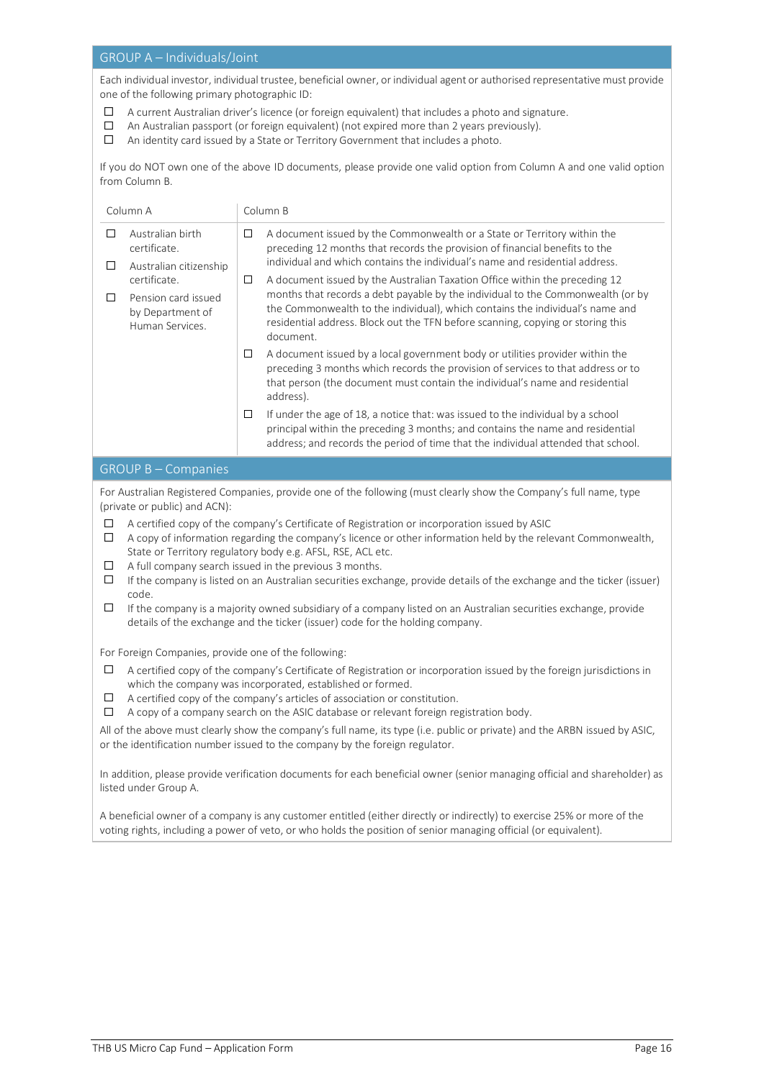#### GROUP A – Individuals/Joint

Each individual investor, individual trustee, beneficial owner, or individual agent or authorised representative must provide one of the following primary photographic ID:

- $\Box$ A current Australian driver's licence (or foreign equivalent) that includes a photo and signature.
- $\Box$ An Australian passport (or foreign equivalent) (not expired more than 2 years previously).
- An identity card issued by a State or Territory Government that includes a photo.

If you do NOT own one of the above ID documents, please provide one valid option from Column A and one valid option from Column B.

| Column A                                                                                                                                                                                                                                                                                                                                                                                                                                                                                                                                                                                                                                                                                                                                                                                                                                                                      |                                                                                                                                                                                                                                                                                                                                                             | Column B |                                                                                                                                                                                                                                                                                                                                                 |  |  |
|-------------------------------------------------------------------------------------------------------------------------------------------------------------------------------------------------------------------------------------------------------------------------------------------------------------------------------------------------------------------------------------------------------------------------------------------------------------------------------------------------------------------------------------------------------------------------------------------------------------------------------------------------------------------------------------------------------------------------------------------------------------------------------------------------------------------------------------------------------------------------------|-------------------------------------------------------------------------------------------------------------------------------------------------------------------------------------------------------------------------------------------------------------------------------------------------------------------------------------------------------------|----------|-------------------------------------------------------------------------------------------------------------------------------------------------------------------------------------------------------------------------------------------------------------------------------------------------------------------------------------------------|--|--|
| □<br>$\Box$                                                                                                                                                                                                                                                                                                                                                                                                                                                                                                                                                                                                                                                                                                                                                                                                                                                                   | Australian birth<br>certificate.                                                                                                                                                                                                                                                                                                                            | □        | A document issued by the Commonwealth or a State or Territory within the<br>preceding 12 months that records the provision of financial benefits to the<br>individual and which contains the individual's name and residential address.                                                                                                         |  |  |
| □                                                                                                                                                                                                                                                                                                                                                                                                                                                                                                                                                                                                                                                                                                                                                                                                                                                                             | Australian citizenship<br>certificate.<br>Pension card issued<br>by Department of<br>Human Services.                                                                                                                                                                                                                                                        | □        | A document issued by the Australian Taxation Office within the preceding 12<br>months that records a debt payable by the individual to the Commonwealth (or by<br>the Commonwealth to the individual), which contains the individual's name and<br>residential address. Block out the TFN before scanning, copying or storing this<br>document. |  |  |
|                                                                                                                                                                                                                                                                                                                                                                                                                                                                                                                                                                                                                                                                                                                                                                                                                                                                               |                                                                                                                                                                                                                                                                                                                                                             | $\Box$   | A document issued by a local government body or utilities provider within the<br>preceding 3 months which records the provision of services to that address or to<br>that person (the document must contain the individual's name and residential<br>address).                                                                                  |  |  |
|                                                                                                                                                                                                                                                                                                                                                                                                                                                                                                                                                                                                                                                                                                                                                                                                                                                                               |                                                                                                                                                                                                                                                                                                                                                             | $\Box$   | If under the age of 18, a notice that: was issued to the individual by a school<br>principal within the preceding 3 months; and contains the name and residential<br>address; and records the period of time that the individual attended that school.                                                                                          |  |  |
|                                                                                                                                                                                                                                                                                                                                                                                                                                                                                                                                                                                                                                                                                                                                                                                                                                                                               | <b>GROUP B-Companies</b>                                                                                                                                                                                                                                                                                                                                    |          |                                                                                                                                                                                                                                                                                                                                                 |  |  |
| For Australian Registered Companies, provide one of the following (must clearly show the Company's full name, type<br>(private or public) and ACN):<br>□<br>A certified copy of the company's Certificate of Registration or incorporation issued by ASIC<br>$\Box$<br>A copy of information regarding the company's licence or other information held by the relevant Commonwealth,<br>State or Territory regulatory body e.g. AFSL, RSE, ACL etc.<br>$\Box$<br>A full company search issued in the previous 3 months.<br>$\Box$<br>If the company is listed on an Australian securities exchange, provide details of the exchange and the ticker (issuer)<br>code.<br>If the company is a majority owned subsidiary of a company listed on an Australian securities exchange, provide<br>□<br>details of the exchange and the ticker (issuer) code for the holding company. |                                                                                                                                                                                                                                                                                                                                                             |          |                                                                                                                                                                                                                                                                                                                                                 |  |  |
| For Foreign Companies, provide one of the following:                                                                                                                                                                                                                                                                                                                                                                                                                                                                                                                                                                                                                                                                                                                                                                                                                          |                                                                                                                                                                                                                                                                                                                                                             |          |                                                                                                                                                                                                                                                                                                                                                 |  |  |
| $\Box$<br>$\Box$<br>$\Box$                                                                                                                                                                                                                                                                                                                                                                                                                                                                                                                                                                                                                                                                                                                                                                                                                                                    | A certified copy of the company's Certificate of Registration or incorporation issued by the foreign jurisdictions in<br>which the company was incorporated, established or formed.<br>A certified copy of the company's articles of association or constitution.<br>A copy of a company search on the ASIC database or relevant foreign registration body. |          |                                                                                                                                                                                                                                                                                                                                                 |  |  |
| All of the above must clearly show the company's full name, its type (i.e. public or private) and the ARBN issued by ASIC,<br>or the identification number issued to the company by the foreign regulator.                                                                                                                                                                                                                                                                                                                                                                                                                                                                                                                                                                                                                                                                    |                                                                                                                                                                                                                                                                                                                                                             |          |                                                                                                                                                                                                                                                                                                                                                 |  |  |
| In addition, please provide verification documents for each beneficial owner (senior managing official and shareholder) as<br>listed under Group A.                                                                                                                                                                                                                                                                                                                                                                                                                                                                                                                                                                                                                                                                                                                           |                                                                                                                                                                                                                                                                                                                                                             |          |                                                                                                                                                                                                                                                                                                                                                 |  |  |
| A beneficial owner of a company is any customer entitled (either directly or indirectly) to exercise 25% or more of the<br>voting rights, including a power of veto, or who holds the position of senior managing official (or equivalent).                                                                                                                                                                                                                                                                                                                                                                                                                                                                                                                                                                                                                                   |                                                                                                                                                                                                                                                                                                                                                             |          |                                                                                                                                                                                                                                                                                                                                                 |  |  |